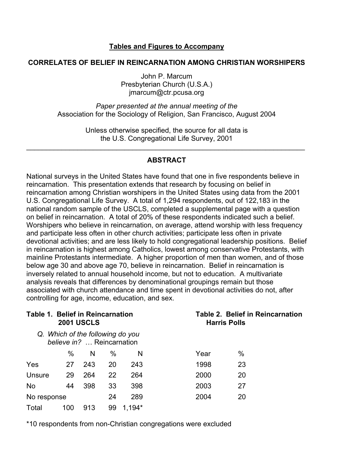### **Tables and Figures to Accompany**

### **CORRELATES OF BELIEF IN REINCARNATION AMONG CHRISTIAN WORSHIPERS**

John P. Marcum Presbyterian Church (U.S.A.) jmarcum@ctr.pcusa.org

*Paper presented at the annual meeting of the*  Association for the Sociology of Religion, San Francisco, August 2004

> Unless otherwise specified, the source for all data is the U.S. Congregational Life Survey, 2001

\_\_\_\_\_\_\_\_\_\_\_\_\_\_\_\_\_\_\_\_\_\_\_\_\_\_\_\_\_\_\_\_\_\_\_\_\_\_\_\_\_\_\_\_\_\_\_\_\_\_\_\_\_\_\_\_\_\_\_\_\_\_\_\_\_\_\_\_\_\_\_

### **ABSTRACT**

National surveys in the United States have found that one in five respondents believe in reincarnation. This presentation extends that research by focusing on belief in reincarnation among Christian worshipers in the United States using data from the 2001 U.S. Congregational Life Survey. A total of 1,294 respondents, out of 122,183 in the national random sample of the USCLS, completed a supplemental page with a question on belief in reincarnation. A total of 20% of these respondents indicated such a belief. Worshipers who believe in reincarnation, on average, attend worship with less frequency and participate less often in other church activities; participate less often in private devotional activities; and are less likely to hold congregational leadership positions. Belief in reincarnation is highest among Catholics, lowest among conservative Protestants, with mainline Protestants intermediate. A higher proportion of men than women, and of those below age 30 and above age 70, believe in reincarnation. Belief in reincarnation is inversely related to annual household income, but not to education. A multivariate analysis reveals that differences by denominational groupings remain but those associated with church attendance and time spent in devotional activities do not, after controlling for age, income, education, and sex.

| <b>Table 1. Belief in Reincarnation</b> |     | <b>2001 USCLS</b>                                              |      |          |      | Table 2. Belief in Reincarnation<br><b>Harris Polls</b> |  |  |  |  |
|-----------------------------------------|-----|----------------------------------------------------------------|------|----------|------|---------------------------------------------------------|--|--|--|--|
|                                         |     | Q. Which of the following do you<br>believe in?  Reincarnation |      |          |      |                                                         |  |  |  |  |
|                                         | %   | N                                                              | $\%$ | N        | Year | %                                                       |  |  |  |  |
| Yes                                     | 27  | 243                                                            | 20   | 243      | 1998 | 23                                                      |  |  |  |  |
| Unsure                                  | 29  | 264                                                            | 22   | 264      | 2000 | 20                                                      |  |  |  |  |
| <b>No</b>                               | 44  | 398                                                            | 33   | 398      | 2003 | 27                                                      |  |  |  |  |
| No response                             |     | 24                                                             | 289  | 2004     | 20   |                                                         |  |  |  |  |
| Total                                   | 100 | 913                                                            | 99   | $1,194*$ |      |                                                         |  |  |  |  |

\*10 respondents from non-Christian congregations were excluded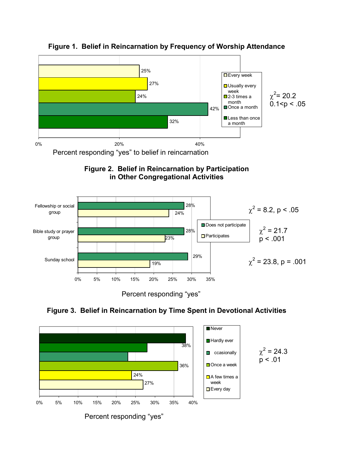

## **Figure 1. Belief in Reincarnation by Frequency of Worship Attendance**





Percent responding "yes"



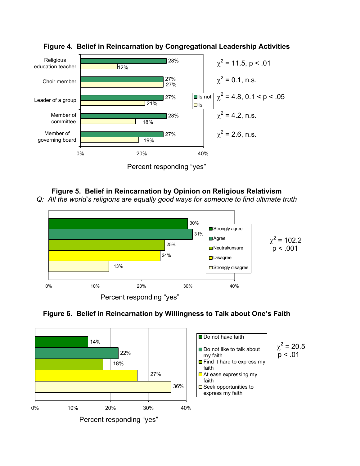

### **Figure 4. Belief in Reincarnation by Congregational Leadership Activities**



# **Figure 5. Belief in Reincarnation by Opinion on Religious Relativism**

*Q: All the world's religions are equally good ways for someone to find ultimate truth* 





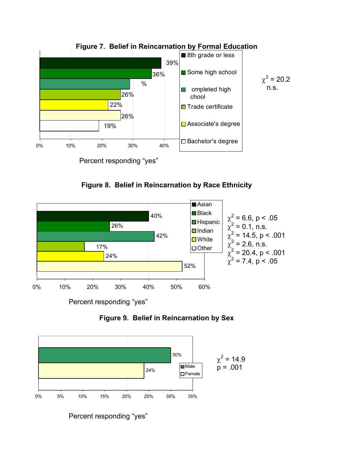

**Figure 7. Belief in Reincarnation by Formal Education** 





Percent responding "yes"





Percent responding "yes"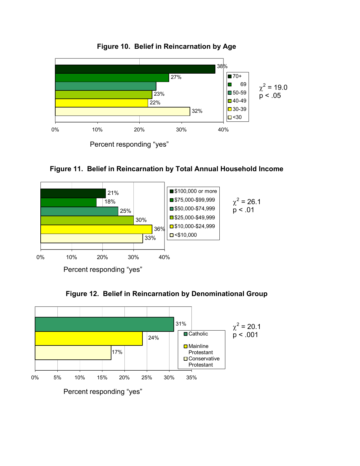

**Figure 10. Belief in Reincarnation by Age** 









Percent responding "yes"